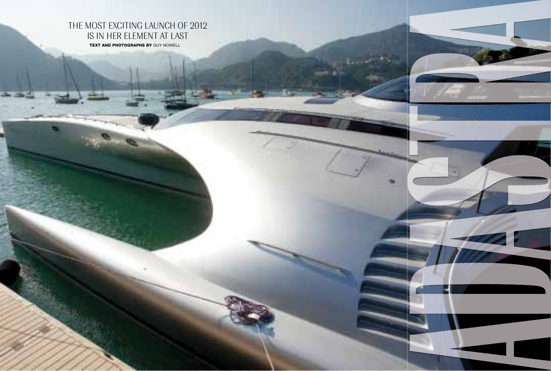**92**



## THE MOST EXCITING LAUNCH OF 2012 IS IN HER ELEMENT AT LAST

**TEXT AND PHOTOGRAPHS BY GUY NOWELL**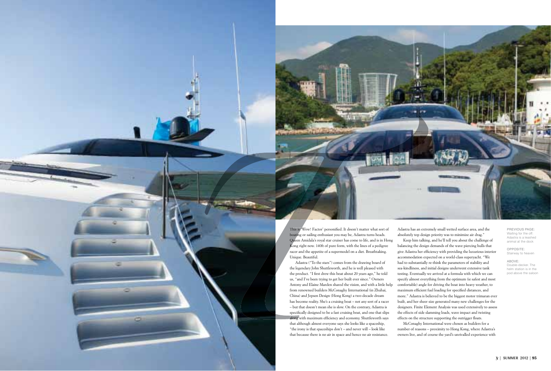This is 'Wow! Factor' personified. It doesn't matter what sort of boating or sailing enthusiast you may be, Adastra turns heads. Queen Amidala's royal star cruiser has come to life, and is in Hong Kong right now. 140ft of pure form, with the lines of a pedigree racer and the appetite of a supermodel on a diet. Breathtaking. Unique. Beautiful. Adastra ("To the stars") comes from the drawing board of the legendary John Shuttleworth, and he is well pleased with the product. "I first drew this boat about 20 years ago," he told us, "and I've been trying to get her built ever since." Owners Antony and Elaine Marden shared the vision, and with a little help from renowned builders McConaghy International (in Zhuhai, China) and Jepsen Design (Hong Kong) a two-decade dream has become reality. She's a cruising boat – not any sort of a racer – but that doesn't mean she is slow. On the contrary, Adastra is specifically designed to be a fast cruising boat, and one that slips along with maximum efficiency and economy. Shuttleworth says Adastra has an extremely small wetted surface area, and the absolutely top design priority was to minimize air drag." Keep him talking, and he'll tell you about the challenge of balancing the design demands of the wave piercing hulls that give Adastra her efficiency with providing the luxurious interior accommodation expected on a world-class superyacht. "We had to substantially re-think the parameters of stability and sea-kindliness, and initial designs underwent extensive tank testing. Eventually we arrived at a formula with which we can specify almost everything from the optimum (ie safest and most comfortable) angle for driving the boat into heavy weather, to maximum efficient fuel loading for specified distances, and more." Adastra is believed to be the biggest motor trimaran ever built, and her sheer size generated many new challenges for the designers. Finite Element Analysis was used extensively to assess the effects of side slamming loads, wave impact and twisting effects on the structure supporting the outrigger floats.

that although almost everyone says she looks like a spaceship, "the irony is that spaceships  $don't$  – and never will – look like that because there is no air in space and hence no air resistance.



OPPOSITE: Stairway to heaven

McConaghy International were chosen as builders for a number of reasons – proximity to Hong Kong, where Adastra's owners live, and of course the yard's unrivalled experience with PREVIOUS PAGE: waiting for the off: Adastra is a leashed animal at the dock

ABOVE: Double-decker. The helm station is in the pod above the saloon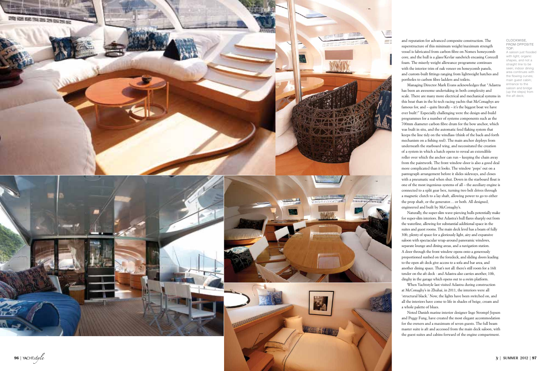

CLOCKWISE, FROM OPPOSITE TOP: A saloon just flooded with light; organic shapes, and not a straight line to be seen; indoor dining area continues with the flowing curves; main guest cabin; entrance to the saloon and bridge (up the steps) from the aft deck;

and reputation for advanced composite construction. The superstructure of this minimum weight/maximum strength vessel is fabricated from carbon fibre on Nomex honeycomb core, and the hull is a glass/Kevlar sandwich encasing Corecell foam. The miserly weight allowance programme continues with the interior trim of oak veneer on honeycomb panels, and custom-built fittings ranging from lightweight hatches and portholes to carbon fibre ladders and toilets.

Managing Director Mark Evans acknowledges that "Adastra has been an awesome undertaking in both complexity and scale. There are many more electrical and mechanical systems in this boat than in the hi-tech racing yachts that McConaghys are famous for, and – quite literally – it's the biggest boat we have ever built!" Especially challenging were the design-and-build programmes for a number of systems components such as the 700mm diameter carbon fibre drum for the bow anchor, which was built in situ, and the automatic feed flaking system that keeps the line tidy on the windlass (think of the back-and-forth mechanism on a fishing reel). The main anchor deploys from underneath the starboard wing, and necessitated the creation of a system in which a hatch opens to reveal an extendible roller over which the anchor can run – keeping the chain away from the paintwork. The front window-door is also a good deal more complicated than it looks. The window 'pops' out on a pantograph arrangement before it slides sideways, and closes with a pneumatic seal when shut. Down in the starboard float is one of the most ingenious systems of all – the auxiliary engine is connected to a split gear box, turning two belt drives through a magnetic clutch to a lay shaft, allowing power to go to either the prop shaft, or the generator… or both. All designed, engineered and built by McConaghy's.

Naturally, the super-slim wave-piercing hulls potentially make for super-slim interiors. But Adastra's hull flares sharply out from the waterline, allowing for substantial additional space in the suites and guest rooms. The main deck level has a beam of fully 30ft, plenty of space for a gloriously light, airy and expansive saloon with spectacular wrap-around panoramic windows, separate lounge and dining areas, and a navigation station. A door through the front window opens onto a generously proportioned sunbed on the foredeck, and sliding doors leading to the open aft deck give access to a sofa and bar area, and another dining space. That's not all: there's still room for a 16ft tender on the aft deck - and Adastra also carries another, 10ft, dinghy in the garage which opens out to a swim platform.

When Yachtstyle last visited Adastra during construction at McConaghy's in Zhuhai, in 2011, the interiors were all 'structural black.' Now, the lights have been switched on, and all the interiors have come to life in shades of beige, cream and a whole palette of blues.

Noted Danish marine interior designer Inge Strompf-Jepsen and Peggy Fung, have created the most elegant accommodation for the owners and a maximum of seven guests. The full beam master suite is aft and accessed from the main deck saloon, with the guest suites and cabins forward of the engine compartment.